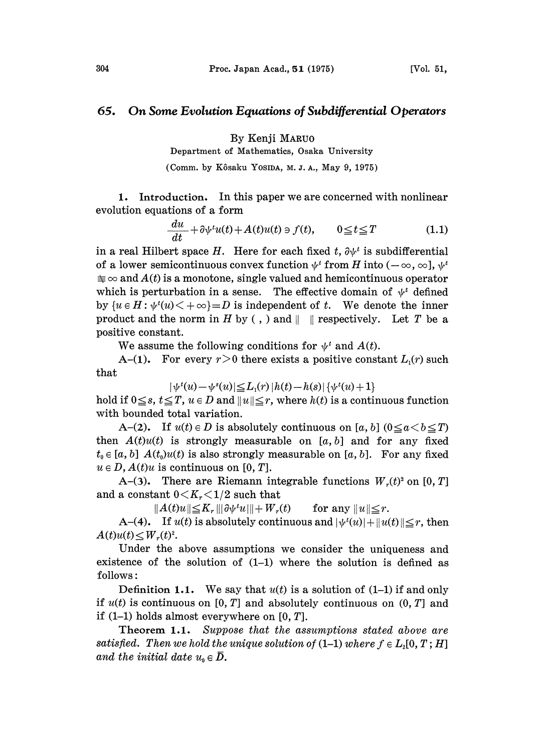## 65. On Some Evolution Equations of Subdifferential Operators

By Kenji MARUO

Department of Mathematics, Osaka University

(Comm. by Kôsaku Yosida, M.J.A., May 9, 1975)

1. Introduction. In this paper we are concerned with nonlinear evolution equations of a form

$$
\frac{du}{dt} + \partial \psi^t u(t) + A(t)u(t) \ni f(t), \qquad 0 \le t \le T \tag{1.1}
$$

in a real Hilbert space H. Here for each fixed t,  $\partial \psi^t$  is subdifferential of a lower semicontinuous convex function  $\psi^t$  from H into  $(-\infty, \infty]$ ,  $\psi^t$  $\equiv \infty$  and  $A(t)$  is a monotone, single valued and hemicontinuous operator which is perturbation in a sense. The effective domain of  $\psi^t$  defined by  $\{u \in H : \psi^t(u) \leq +\infty\} = D$  is independent of t. We denote the inner product and the norm in H by (, ) and  $\parallel$   $\parallel$  respectively. Let T be a positive constant.

We assume the following conditions for  $\psi^t$  and  $A(t)$ .

A-(1). For every  $r > 0$  there exists a positive constant  $L_1(r)$  such that

$$
|\psi^{t}(u)-\psi^{s}(u)|\leq L_{1}(r)\, |h(t)-h(s)|\, \{\psi^{t}(u)+1\}
$$

hold if  $0 \leq s$ ,  $t \leq T$ ,  $u \in D$  and  $||u|| \leq r$ , where  $h(t)$  is a continuous function with bounded total variation.

A-(2). If  $u(t) \in D$  is absolutely continuous on [a, b]  $(0 \le a < b \le T)$ then  $A(t)u(t)$  is strongly measurable on [a, b] and for any fixed  $t_0 \in [a, b]$   $A(t_0)u(t)$  is also strongly measurable on [a, b]. For any fixed  $u \in D$ ,  $A(t)u$  is continuous on [0, T].

A-(3). There are Riemann integrable functions  $W_r(t)^2$  on [0, T] and a constant  $0 < K_r < 1/2$  such that

 $||A(t)u|| \leq K_r ||\partial \psi^t u|| + W_r(t)$  for any  $||u|| \leq r$ .

A-(4). If  $u(t)$  is absolutely continuous and  $|\psi'(u)| + ||u(t)|| \leq r$ , then  $A(t)u(t) \leq W_r(t)^2$ .

Under the above assumptions we consider the uniqueness and existence of the solution of (1-1) where the solution is defined as follows:

Definition 1.1. We say that  $u(t)$  is a solution of (1-1) if and only if  $u(t)$  is continuous on [0, T] and absolutely continuous on  $(0, T]$  and if  $(1-1)$  holds almost everywhere on  $[0, T]$ .

Theorem 1.1. Suppose that the assumptions stated above are satisfied. Then we hold the unique solution of  $(1-1)$  where  $f \in L_{2}[0, T; H]$ and the initial date  $u_0 \in \overline{D}$ .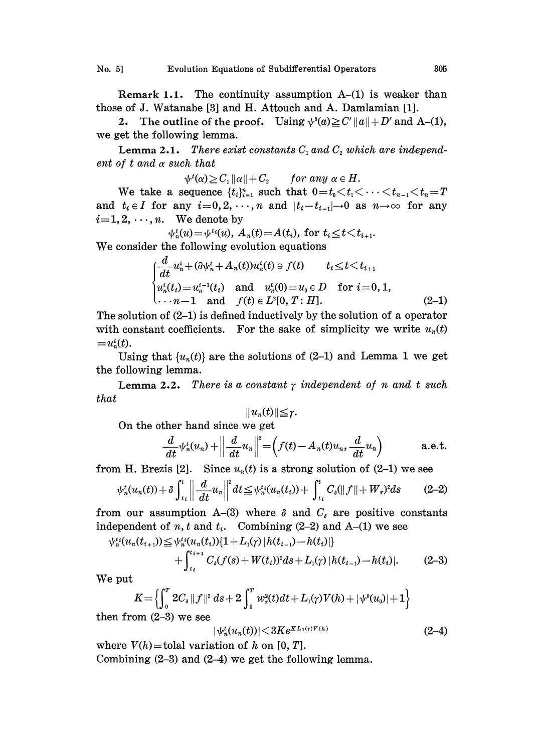Remark 1.1. The continuity assumption  $A-(1)$  is weaker than those of J. Watanabe [3] and H. Attouch and A. Damlamian [1].

2. The outline of the proof. Using  $\psi^0(a) \geq C' ||a|| + D'$  and A-(1), we get the following lemma.

**Lemma 2.1.** There exist constants  $C_1$  and  $C_2$  which are independent of  $t$  and  $\alpha$  such that

 $\psi^t(\alpha) \geq C_1 ||\alpha|| + C_2$  for any  $\alpha \in H$ .

We take a sequence  $\{t_i\}_{i=1}^n$  such that  $0 = t_0 < t_1 < \cdots < t_{n-1} < t_n = T$  $\psi^t(\alpha) \geq C_1 \|\alpha\| + C_2$  for any  $\alpha \in H$ .<br>We take a sequence  $\{t_i\}_{i=1}^n$  such that  $0 = t_0 < t_1 < \cdots < t_{n-1} < t_n = T$ <br>and  $t_i \in I$  for any  $i = 0, 2, \cdots, n$  and  $|t_i - t_{i-1}| \to 0$  as  $n \to \infty$  for any<br> $i = 1, 2, \ldots, n$  We denote by  $i=1, 2, \dots, n$ . We denote by

 $\psi_n^t(u) = \psi^{t}(u), A_n(t) = A(t_i)$ , for  $t_i \le t \le t_{i+1}$ .

We consider the following evolution equations  
\n
$$
\begin{cases}\n\frac{d}{dt}u_n^i + (\partial \psi_n^t + A_n(t))u_n^i(t) = f(t) & t_i \le t \le t_{i+1} \\
u_n^i(t_i) = u_n^{i-1}(t_i) & \text{and} \quad u_n^0(0) = u_0 \in D \quad \text{for } i = 0, 1, \\
\cdots n-1 & \text{and} \quad f(t) \in L^2[0, T : H].\n\end{cases}
$$
\n(2-1)

The solution of (2-1) is defined inductively by the solution of a operator with constant coefficients. For the sake of simplicity we write  $u_n(t)$  $=u_n^i(t)$ .

Using that  $\{u_n(t)\}\$ are the solutions of (2-1) and Lemma 1 we get the following lemma.

**Lemma 2.2.** There is a constant  $\gamma$  independent of n and t such that

$$
||u_n(t)|| \leq r.
$$

On the other hand since we get

$$
\frac{d}{dt}\psi_n^t(u_n) + \left\|\frac{d}{dt}u_n\right\|^2 = \left(f(t) - A_n(t)u_n, \frac{d}{dt}u_n\right) \quad \text{a.e.t.}
$$

from H. Brezis [2]. Since  $u_n(t)$  is a strong solution of (2-1) we see

$$
\psi_n^t(u_n(t)) + \delta \int_{t_i}^t \left\| \frac{d}{dt} u_n \right\|^2 dt \leq \psi_n^{t_i}(u_n(t_i)) + \int_{t_i}^t C_\delta(\|f\| + W_r)^2 ds \tag{2-2}
$$

from our assumption A-(3) where  $\delta$  and  $C_i$  are positive constants independent of  $n, t$  and  $t_i$ . Combining (2-2) and A-(1) we see

$$
\psi_n^{t_i}(u_n(t_{i+1})) \leq \psi_n^{t_i}(u_n(t_i)) [1 + L_1(\gamma) | h(t_{i-1}) - h(t_i)] + \int_{t_i}^{t_{i+1}} C_{\delta}(f(s) + W(t_i))^2 ds + L_1(\gamma) | h(t_{i-1}) - h(t_i)|.
$$
 (2-3)

We put

$$
K = \left\{ \int_0^T 2C_s \|f\|^2 ds + 2 \int_0^T w_r^2(t) dt + L_1(\gamma) V(h) + |\psi^0(u_0)| + 1 \right\}
$$

then from  $(2-3)$  we see

$$
|\psi_n^t(u_n(t))| \leq 3Ke^{KL_1(\gamma)V(h)} \tag{2-4}
$$

where  $V(h)$  = tolal variation of h on [0, T]. Combining  $(2-3)$  and  $(2-4)$  we get the following lemma.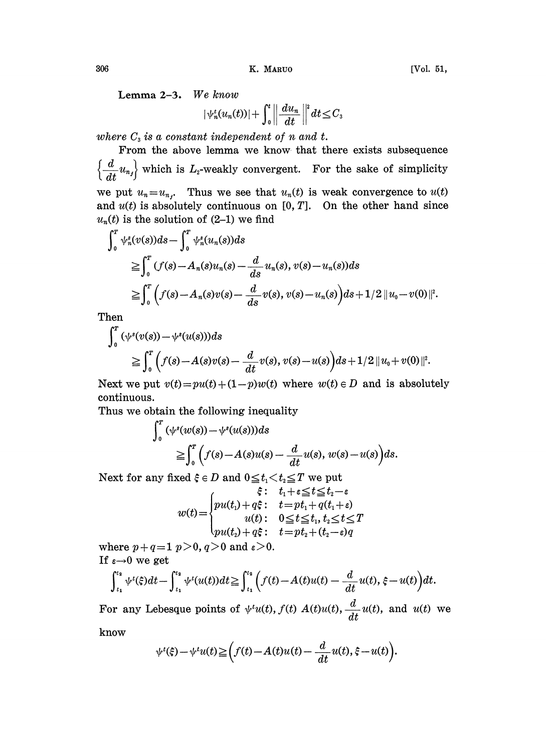306 K. MARUO [Vol. 51,

$$
|\psi_n^t(u_n(t))|+\int_0^t\left|\left|\frac{du_n}{dt}\right|\right|^s dt\leq C_3
$$

where  $C_3$  is a constant independent of n and t.

From the above lemma we know. that there exists subsequence  $\left\{\frac{d}{dt}u_{n}\right\}$  which is  $L_2$ -weakly convergent. For the sake of simplicity

we put  $u_n = u_{n_j}$ . Thus we see that  $u_n(t)$  is weak convergence to  $u(t)$ and  $u(t)$  is absolutely continuous on  $[0, T]$ . On the other hand since  $u_n(t)$  is the solution of (2-1) we find

$$
\int_0^T \psi_n^s(v(s))ds - \int_0^T \psi_n^s(u_n(s))ds
$$
  
\n
$$
\geq \int_0^T (f(s) - A_n(s)u_n(s) - \frac{d}{ds}u_n(s), v(s) - u_n(s))ds
$$
  
\n
$$
\geq \int_0^T \Big(f(s) - A_n(s)v(s) - \frac{d}{ds}v(s), v(s) - u_n(s)\Big)ds + 1/2 ||u_0 - v(0)||^2.
$$

Then

$$
\int_0^T (\psi^s(v(s)) - \psi^s(u(s)))ds
$$
  
\n
$$
\geq \int_0^T \Big(f(s) - A(s)v(s) - \frac{d}{dt}v(s), v(s) - u(s)\Big)ds + 1/2 ||u_0 + v(0)||^2.
$$

Next we put  $v(t) = pu(t) + (1-p)w(t)$  where  $w(t) \in D$  and is absolutely continuous.

Thus we obtain the following inequality

$$
\begin{aligned} \n\int_0^T (\psi^s(w(s)) - \psi^s(u(s))) ds &\leq \int_0^T \left( f(s) - A(s)u(s) - \frac{d}{dt}u(s), w(s) - u(s) \right) ds. \n\end{aligned}
$$

Next for any fixed  $\xi \in D$  and  $0 \le t_1 < t_2 \le T$  we put

$$
w(t) = \begin{cases} \n\hat{\xi} : \quad t_1 + \varepsilon \leq t \leq t_2 - \varepsilon \\ \npu(t_1) + q\xi : \quad t = pt_1 + q(t_1 + \varepsilon) \\ \nu(t) : \quad 0 \leq t \leq t_1, \ t_2 \leq t \leq T \\ \npu(t_2) + q\xi : \quad t = pt_2 + (t_2 - \varepsilon)q \n\end{cases}
$$

where  $p+q=1$   $p>0$ ,  $q>0$  and  $\varepsilon>0$ . If  $\varepsilon \rightarrow 0$  we get

$$
\int_{t_1}^{t_2} \psi^t(\xi) dt - \int_{t_1}^{t_2} \psi^t(u(t)) dt \geq \int_{t_1}^{t_2} \left( f(t) - A(t)u(t) - \frac{d}{dt} u(t), \xi - u(t) \right) dt.
$$

For any Lebesque points of  $\psi^{t}u(t)$ ,  $f(t)$   $A(t)u(t)$ ,  $\frac{d}{dt}u(t)$ , and  $u(t)$  we

know

$$
\psi^t(\xi) - \psi^t u(t) \ge \left( f(t) - A(t)u(t) - \frac{d}{dt}u(t), \xi - u(t) \right).
$$